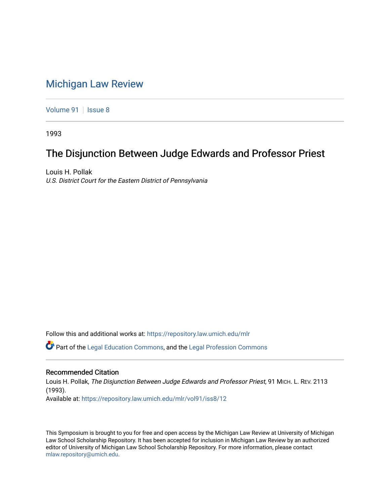# [Michigan Law Review](https://repository.law.umich.edu/mlr)

[Volume 91](https://repository.law.umich.edu/mlr/vol91) | [Issue 8](https://repository.law.umich.edu/mlr/vol91/iss8)

1993

# The Disjunction Between Judge Edwards and Professor Priest

Louis H. Pollak U.S. District Court for the Eastern District of Pennsylvania

Follow this and additional works at: [https://repository.law.umich.edu/mlr](https://repository.law.umich.edu/mlr?utm_source=repository.law.umich.edu%2Fmlr%2Fvol91%2Fiss8%2F12&utm_medium=PDF&utm_campaign=PDFCoverPages) 

Part of the [Legal Education Commons,](http://network.bepress.com/hgg/discipline/857?utm_source=repository.law.umich.edu%2Fmlr%2Fvol91%2Fiss8%2F12&utm_medium=PDF&utm_campaign=PDFCoverPages) and the [Legal Profession Commons](http://network.bepress.com/hgg/discipline/1075?utm_source=repository.law.umich.edu%2Fmlr%2Fvol91%2Fiss8%2F12&utm_medium=PDF&utm_campaign=PDFCoverPages) 

### Recommended Citation

Louis H. Pollak, The Disjunction Between Judge Edwards and Professor Priest, 91 MICH. L. REV. 2113 (1993). Available at: [https://repository.law.umich.edu/mlr/vol91/iss8/12](https://repository.law.umich.edu/mlr/vol91/iss8/12?utm_source=repository.law.umich.edu%2Fmlr%2Fvol91%2Fiss8%2F12&utm_medium=PDF&utm_campaign=PDFCoverPages) 

This Symposium is brought to you for free and open access by the Michigan Law Review at University of Michigan Law School Scholarship Repository. It has been accepted for inclusion in Michigan Law Review by an authorized editor of University of Michigan Law School Scholarship Repository. For more information, please contact [mlaw.repository@umich.edu.](mailto:mlaw.repository@umich.edu)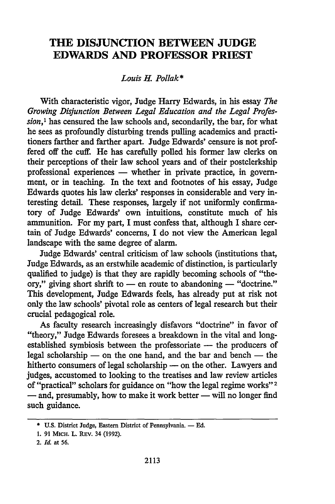# **THE DISJUNCTION BETWEEN JUDGE EDWARDS AND PROFESSOR PRIEST**

#### *Louis H. Pollak\**

With characteristic vigor, Judge Harry Edwards, in his essay *The Growing Disjunction Between Legal Education and the Legal Profession,* 1 has censured the law schools and, secondarily, the bar, for what he sees as profoundly disturbing trends pulling academics and practitioners farther and farther apart. Judge Edwards' censure is not proffered off the cuff. He has carefully polled his former law clerks on their perceptions of their law school years and of their postclerkship professional experiences  $-$  whether in private practice, in government, or in teaching. In the text and footnotes of his essay, Judge Edwards quotes his law clerks' responses in considerable and very interesting detail. These responses, largely if not uniformly confirmatory of Judge Edwards' own intuitions, constitute much of his ammunition. For my part, I must confess that, although I share certain of Judge Edwards' concerns, I do not view the American legal landscape with the same degree of alarm.

Judge Edwards' central criticism of law schools (institutions that, Judge Edwards, as an erstwhile academic of distinction, is particularly qualified to judge) is that they are rapidly becoming schools of "theory," giving short shrift to  $-$  en route to abandoning  $-$  "doctrine." This development, Judge Edwards feels, has already put at risk not only the law schools' pivotal role as centers of legal research but their crucial pedagogical role.

As faculty research increasingly disfavors "doctrine" in favor of "theory," Judge Edwards foresees a breakdown in the vital and longestablished symbiosis between the professoriate - the producers of legal scholarship  $-$  on the one hand, and the bar and bench  $-$  the hitherto consumers of legal scholarship - on the other. Lawyers and judges, accustomed to looking to the treatises and law review articles of "practical" scholars for guidance on "how the legal regime works" 2 - and, presumably, how to make it work better - will no longer find such guidance.

<sup>\*</sup> U.S. District Judge, Eastern District of Pennsylvania. - Ed.

<sup>1. 91</sup> MICH. L. REV. 34 (1992).

<sup>2.</sup> *Id.* at 56.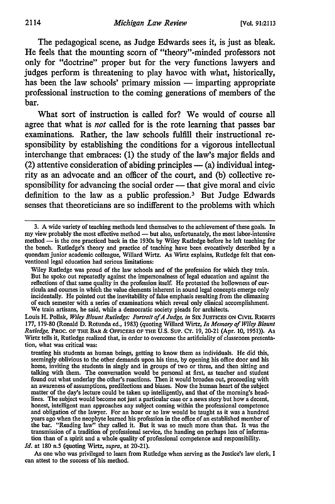The pedagogical scene, as Judge Edwards sees it, is just as bleak. He feels that the mounting scorn of "theory" -minded professors not only for "doctrine" proper but for the very functions lawyers and judges perform is threatening to play havoc with what, historically, has been the law schools' primary mission  $-$  imparting appropriate professional instruction to the coming generations of members of the bar.

What sort of instruction is called for? We would of course all agree that what is *not* called for is the rote learning that passes bar examinations. Rather, the law schools fulfill their instructional responsibility by establishing the conditions for a vigorous intellectual interchange that embraces: (1) the study of the law's major fields and  $(2)$  attentive consideration of abiding principles  $-$  (a) individual integrity as an advocate and an officer of the court, and (b) collective responsibility for advancing the social order  $-$  that give moral and civic definition to the law as a public profession.3 But Judge Edwards senses that theoreticians are so indifferent to the problems with which

<sup>3.</sup> A wide variety of teaching methods lend themselves to the achievement of these goals. In my view probably the most effective method — but also, unfortunately, the most labor-intensive method - is the one practiced back in the 1930s by Wiley Rutledge before he left teaching for the bench. Rutledge's theory and practice of teaching have been evocatively described by a quondam junior academic colleague, Willard Wirtz. As Wirtz explains, Rutledge felt that conventional legal education had serious limitations:

Wiley Rutledge was proud of the law schools and of the profession for which they train. But he spoke out repeatedly against the impersonalness of legal education and against the reflections of that same quality in the profession itself. He protested the hollowness of curricula and courses in which the value elements inherent in sound legal concepts emerge only incidentally. He pointed out the inevitability of false emphasis resulting from the climaxing of each semester with a series of examinations which reveal only clinical accomplishment. We train artisans, he said, while a democratic society pleads for architects.

Louis H. Pollak, *Wiley Blount Rutledge: Portrait of A Judge, in* SIX JUSTICES ON CIVIL RIGHTS 177, 179-80 (Ronald D. Rotunda ed., 1983) (quoting Willard Wirtz, *In Memory of Wiley Blount Rutledge,* PROC. OF THE BAR & OFFICERS OF THE U.S. SUP. Cr. 19, 20-21 (Apr. 10, 1951)). As Wirtz tells it, Rutledge realized that, in order to overcome the artificiality of classroom presentation, what was critical was:

treating his students as human beings, getting to know them as individuals. He did this, seemingly oblivious to the other demands upon his time, by opening his office door and his home, inviting the students in singly and in groups of two or three, and then sitting and talking with them. The conversation would be personal at first, as teacher and student found out what underlay the other's reactions. Then it would broaden out, proceeding with an awareness of assumptions, predilections and biases. Now the human heart of the subject matter of the day's lecture could be taken up intelligently, and that of the morning's headlines. The subject would become not just a particular case or a news story but how a decent, honest, intelligent man approaches any subject coming within the professional competence and obligation of the lawyer. For an hour or so law would be taught as it was a hundred years ago when the neophyte learned his profession in the office of an established member of the bar. "Reading law" they called it. But it was so much more than that. It was the transmission of a tradition of professional service, the handing on perhaps less of information than of a spirit and a whole quality of professional competence and responsibility.

*Id.* at 180 n.5 (quoting Wirtz, *supra,* at 20-21).

As one who was privileged to learn from Rutledge when serving as the Justice's law clerk, I can attest to the success of his method.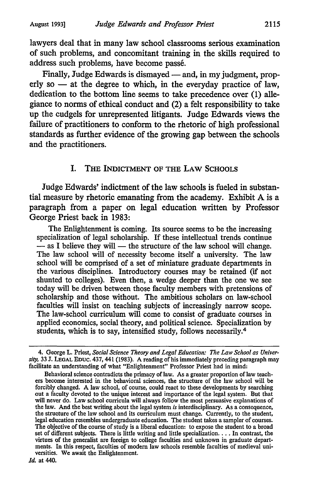lawyers deal that in many law school classrooms serious examination of such problems, and concomitant training in the skills required to address such problems, have become passe.

Finally, Judge Edwards is dismayed — and, in my judgment, properly so  $-$  at the degree to which, in the everyday practice of law, dedication to the bottom line seems to take precedence over (1) allegiance to norms of ethical conduct and (2) a felt responsibility to take up the cudgels for unrepresented litigants. Judge Edwards views the failure of practitioners to conform to the rhetoric of high professional standards as further evidence of the growing gap between the schools and the practitioners.

## I. THE INDICTMENT OF THE LAW SCHOOLS

Judge Edwards' indictment of the law schools is fueled in substantial measure by rhetoric emanating from the academy. Exhibit A is a paragraph from a paper on legal education written by Professor George Priest back in 1983:

The Enlightenment is coming. Its source seems to be the increasing specialization of legal scholarship. If these intellectual trends continue  $-$  as I believe they will  $-$  the structure of the law school will change. The law school will of necessity become itself a university. The law school will be comprised of a set of miniature graduate departments in the various disciplines. Introductory courses may be retained (if not shunted to colleges). Even then, a wedge deeper than the one we see today will be driven between those faculty members with pretensions of scholarship and those without. The ambitious scholars on law-school faculties will insist on teaching subjects of increasingly narrow scope. The law-school curriculum will come to consist of graduate courses in applied economics, social theory, and political science. Specialization by students, which is to say, intensified study, follows necessarily.4

*Id.* at 440.

<sup>4.</sup> George L. Priest, *Social Science Theory and Legal Education: The Law School as University,* 33 J. LEGAL Enuc. 437, 441 (1983). A reading of his immediately preceding paragraph may facilitate an understanding of what "Enlightenment" Professor Priest had in mind:

Behavioral science contradicts the primacy of law. As a greater proportion of law teachers become interested in the behavioral sciences, the structure of the law school will be forcibly changed. A law school, of course, could react to these developments by searching out a faculty devoted to the unique interest and importance of the legal system. But that will never do. Law school curricula will always follow the most persuasive explanations of the law. And the best writing about the legal system *is* interdisciplinary. As a consequence, the structure of the law school and its curriculum must change. Currently, to the student, legal education resembles undergraduate education. The student takes a sampler of courses. The objective of the course of study is a liberal education: to expose the student to a broad set of different subjects. There is little writing and little specialization .... In contrast, the virtues of the generalist are foreign to college faculties and unknown in graduate departments. In this respect, faculties of modem law schools resemble faculties of medieval universities. We await the Enlightenment.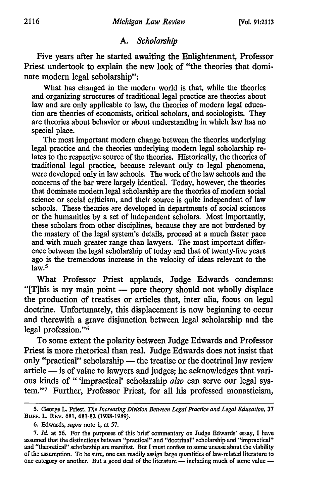### A. *Scholarship*

Five years after he started awaiting the Enlightenment, Professor Priest undertook to explain the new look of "the theories that dominate modem legal scholarship":

What has changed in the modern world is that, while the theories and organizing structures of traditional legal practice are theories about law and are only applicable to law, the theories of modern legal education are theories of economists, critical scholars, and sociologists. They are theories about behavior or about understanding in which law has no special place.

The most important modern change between the theories underlying legal practice and the theories underlying modern legal scholarship relates to the respective source of the theories. Historically, the theories of traditional legal practice, because relevant only to legal phenomena, were developed only in law schools. The work of the law schools and the concerns of the bar were largely identical. Today, however, the theories that dominate modern legal scholarship are the theories of modern social science or social criticism, and their source is quite independent of law schools. These theories are developed in departments of social sciences or the humanities by a set of independent scholars. Most importantly, these scholars from other disciplines, because they are not burdened by the mastery of the legal system's details, proceed at a much faster pace and with much greater range than lawyers. The most important difference between the legal scholarship of today and that of twenty-five years ago is the tremendous increase in the velocity of ideas relevant to the  $law<sub>5</sub>$ 

What Professor Priest applauds, Judge Edwards condemns: "[T]his is my main point — pure theory should not wholly displace the production of treatises or articles that, inter alia, focus on legal doctrine. Unfortunately, this displacement is now beginning to occur and therewith a grave disjunction between legal scholarship and the legal profession."6

To some extent the polarity between Judge Edwards and Professor Priest is more rhetorical than real. Judge Edwards does not insist that only "practical" scholarship — the treatise or the doctrinal law review  $article$   $-$  is of value to lawyers and judges; he acknowledges that various kinds of " 'impractical' scholarship *also* can serve our legal system. "7 Further, Professor Priest, for all his professed monasticism,

<sup>5.</sup> George L. Priest, *The Increasing Division Between Legal Practice and Legal Education,* 37 BUFF. L. REV. 681, 681-82 (1988-1989).

<sup>6.</sup> Edwards, *supra* note 1, at 57.

<sup>7.</sup> *Id.* at 56. For the purposes of this brief commentary on Judge Edwards' essay, I have assumed that the distinctions between "practical" and "doctrinal" scholarship and "impractical" and "theoretical" scholarship are manifest. But I must confess to some unease about the viability of the assumption. To be sure, one can readily assign large quantities of law·related literature to one category or another. But a good deal of the literature  $-$  including much of some value  $-$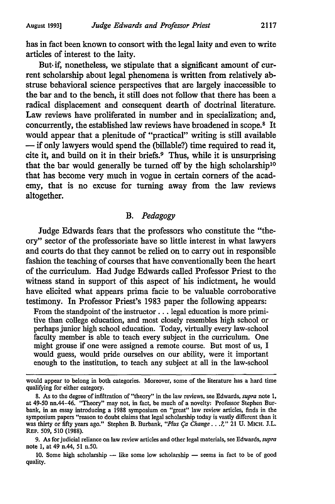has in fact been known to consort with the legal laity and even to write articles of interest to the laity.

But· if, nonetheless, we stipulate that a significant amount of current scholarship about legal phenomena is written from relatively abstruse behavioral science perspectives that are largely inaccessible to the bar and to the bench, it still does not follow that there has been a radical displacement and consequent dearth of doctrinal literature. Law reviews have proliferated in number and in specialization; and, concurrently, the established law reviews have broadened in scope.8 It would appear that a plenitude of "practical" writing is still available - if only lawyers would spend the (billable?) time required to read it, cite it, and build on it in their briefs.9 Thus, while it is unsurprising that the bar would generally be turned off by the high scholarship<sup>10</sup> that has become very much in vogue in certain comers of the academy, that is no excuse for turning away from the law reviews altogether.

#### B. *Pedagogy*

Judge Edwards fears that the professors who constitute the "theory" sector of the professoriate have so little interest in what lawyers and courts do that they cannot be relied on to carry out in responsible fashion the teaching of courses that have conventionally been the heart of the curriculum. Had Judge Edwards called Professor Priest to the witness stand in support of this aspect of his indictment, he would have elicited what appears prima facie to be valuable corroborative testimony. In Professor Priest's 1983 paper the following appears:

From the standpoint of the instructor ... legal education is more primitive than college education, and most closely resembles high school or perhaps junior high school education. Today, virtually every law-school faculty member is able to teach every subject in the curriculum. One might grouse if one were assigned a remote course. But most of us, I would guess, would pride ourselves on our ability, were it important enough to the institution, to teach any subject at all in the law-school

would appear to belong in both categories. Moreover, some of the literature has a hard time qualifying for either category.

<sup>8.</sup> As to the degree of infiltration of "theory" in the law reviews, see Edwards, *supra* note l, at 49-50 nn.44-46. "Theory" may not, in fact, be much of a novelty: Professor Stephen Burbank, in an essay introducing a 1988 symposium on "great" law review articles, finds in the symposium papers "reason to doubt claims that legal scholarship today is vastly different than it was thirty or fifty years ago." Stephen B. Burbank, "*Plus Ça Change* . . .?," 21 U. MICH. J.L. REF. 509, 510 (1988).

<sup>9.</sup> As for judicial reliance on law review articles and other legal materials, see Edwards, *supra*  note l, at 49 n.44, 51 n.50.

<sup>10.</sup> Some high scholarship  $-$  like some low scholarship  $-$  seems in fact to be of good quality.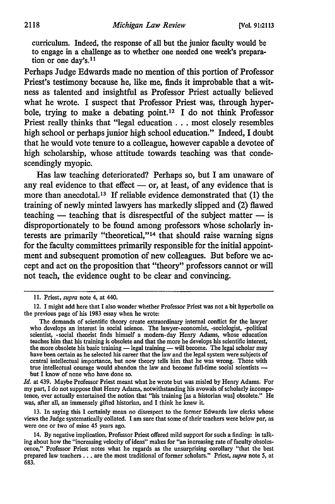curriculum. Indeed, the response of all but the junior faculty would be to engage in a challenge as to whether one needed one week's preparation or one day's.11

Perhaps Judge Edwards made no mention of this portion of Professor Priest's testimony because he, like me, finds it improbable that a witness as talented and insightful as Professor Priest actually believed what he wrote. I suspect that Professor Priest was, through hyperbole, trying to make a debating point. 12 I do not think Professor Priest really thinks that "legal education . . . most closely resembles high school or perhaps junior high school education." Indeed, I doubt that he would vote tenure to a colleague, however capable a devotee of high scholarship, whose attitude towards teaching was that condescendingly myopic.

Has law teaching deteriorated? Perhaps so, but I am unaware of any real evidence to that effect  $-$  or, at least, of any evidence that is more than anecdotal.13 If reliable evidence demonstrated that (1) the training of newly minted lawyers has markedly slipped and (2) flawed teaching  $-$  teaching that is disrespectful of the subject matter  $-$  is disproportionately to be found among professors whose scholarly interests are primarily "theoretical,"<sup>14</sup> that should raise warning signs for the faculty committees primarily responsible for the initial appointment and subsequent promotion of new colleagues. But before we accept and act on the proposition that "theory" professors cannot or will not teach, the evidence ought to be clear and convincing.

*Id.* at 439. Maybe Professor Priest meant what he wrote but was misled by Henry Adams. For my part, I do not suppose that Henry Adams, notwithstanding his avowals of scholarly incompetence, ever actually entertained the notion that "his training [as a historian was] obsolete." He was, after all, an immensely gifted historian, and I think he knew it.

13. In saying this I certainly mean no disrespect to the former Edwards law clerks whose views the Judge systematically collated. I am sure that some of their teachers were below par, as were one or two of mine 45 years ago.

14. By negative implication, Professor Priest offered mild support for such a finding: in talking about how the "increasing velocity of ideas" makes for "an increasing rate of faculty obsolescence," Professor Priest notes what he regards as the unsurprising corollary "that the best prepared law teachers ..• are the most traditional of former scholars." Priest, *supra* note 5, at 683.

<sup>11.</sup> Priest, *supra* note 4, at 440.

<sup>12.</sup> I might add here that I also wonder whether Professor Priest was not a bit hyperbolic on the previous page of his 1983 essay when he wrote:

The demands of scientific theory create extraordinary internal conflict for the lawyer who develops an interest in social science. The lawyer-economist, -sociologist, -political scientist, -social theorist finds himself a modem-day Henry Adams, whose education teaches him that his training is obsolete and that the more he develops his scientific interest, the more obsolete his basic training - legal training - will become. The legal scholar may have been certain as he selected his career that the law and the legal system were subjects of central intellectual importance, but now theory tells him that he was wrong. Those with true intellectual courage would abandon the law and become full-time social scientists but I know of none who have done so.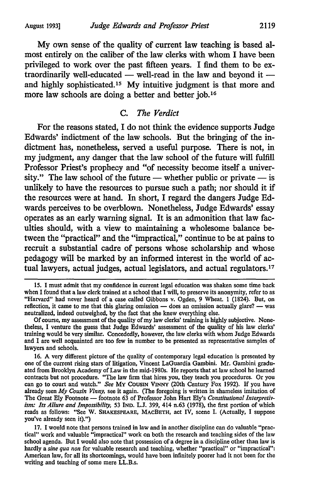My own sense of the quality of current law teaching is based almost entirely on the caliber of the law clerks with whom I have been privileged to work over the past fifteen years. I find them to be extraordinarily well-educated  $\stackrel{-}{-}$  well-read in the law and beyond it  $\stackrel{-}{-}$ and highly sophisticated.15 My intuitive judgment is that more and more law schools are doing a better and better job.16

### C. *The Verdict*

For the reasons stated, I do not think the evidence supports Judge Edwards' indictment of the law schools. But the bringing of the indictment has, nonetheless, served a useful purpose. There is not, in my judgment, any danger that the law school of the future will fulfill Professor Priest's prophecy and "of necessity become itself a university." The law school of the future — whether public or private — is unlikely to have the resources to pursue such a path; nor should it if the resources were at hand. In short, I regard the dangers Judge Edwards perceives to be overblown. Nonetheless, Judge Edwards' essay operates as an early warning signal. It is an admonition that law faculties should, with a view to maintaining a wholesome balance between the "practical" and the "impractical," continue to be at pains to recruit a substantial cadre of persons whose scholarship and whose pedagogy will be marked by an informed interest in the world of actual lawyers, actual judges, actual legislators, and actual regulators. <sup>17</sup>

IS. I must admit that my confidence in current legal education was shaken some time back when I found that a law clerk trained at a school that I will, to preserve its anonymity, refer to as "Harvard" had never heard of a case called Gibbons v. Ogden, 9 Wheat. 1 (1824). But, on reflection, it came to me that this glaring omission  $-$  does an omission actually glare?  $-$  was neutralized, indeed outweighed, by the fact that she knew everything else.

Of course, my assessment of the quality of my law clerks' training is highly subjective. Nonetheless, I venture the guess that Judge Edwards' assessment of the quality of his law clerks' training would be very similar. Concededly, however, the law clerks with whom Judge Edwards and I are well acquainted are too few in number to be presented as representative samples of lawyers and schools.

<sup>16.</sup> A very different picture of the quality of contemporary legal education is presented by one of the current rising stars of litigation, Vincent LaGuardia Gambini. Mr. Gambini graduated from Brooklyn Academy of Law in the mid-1980s. He reports that at law school he learned contracts but not procedure. "The law firm that hires you, they teach you procedures. Or you can go to court and watch." See MY COUSIN VINNY (20th Century Fox 1992). If you have already seen *My Cousin Vinny,* see it again. (The foregoing is written in shameless imitation of The Great Ely Footnote - footnote 63 of Professor John Hart Ely's *Constitutional Interpretivism: Its Allure and Impossibility,* 53 IND. L.J. 399, 414 n.63 (1978), the first portion of which reads as follows: "See W. SHAKESPEARE, MACBETH, act IV, scene I. (Actually, I suppose you've already seen it).")

<sup>17.</sup> I would note that persons trained in law and in another discipline can do valuable "practical" work and valuable "impractical" work on both the research and teaching sides of the law school agenda. But I would also note that possession of a degree in a discipline other than law is hardly a *sine qua non* for valuable research and teaching, whether "practical" or "impractical": American law, for all its shortcomings, would have been infinitely poorer had it not been for the writing and teaching of some mere LL.B.s.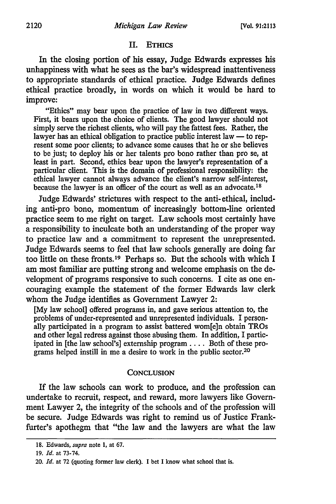#### II. ETHICS

In the closing portion of his essay, Judge Edwards expresses his unhappiness with what he sees as the bar's widespread inattentiveness to appropriate standards of ethical practice. Judge Edwards defines ethical practice broadly, in words on which it would be hard to improve:

"Ethics" may bear upon the practice of law in two different ways. First, it bears upon the choice of clients. The good lawyer should not simply serve the richest clients, who will pay the fattest fees. Rather, the lawyer has an ethical obligation to practice public interest law  $-$  to represent some poor clients; to advance some causes that he or she believes to be just; to deploy his or her talents pro bono rather than pro se, at least in part. Second, ethics bear upon the lawyer's representation of a particular client. This is the domain of professional responsibility: the ethical laWYer cannot always advance the client's narrow self-interest, because the lawyer is an officer of the court as well as an advocate.<sup>18</sup>

Judge Edwards' strictures with respect to the anti-ethical, including anti-pro bono, momentum of increasingly bottom-line oriented practice seem to me right on target. Law schools most certainly have a responsibility to inculcate both an understanding of the proper way to practice law and a commitment to represent the unrepresented. Judge Edwards seems to feel that law schools generally are doing far too little on these fronts. 19 Perhaps so. But the schools with which I am most familiar are putting strong and welcome emphasis on the development of programs responsive to such concerns. I cite as one encouraging example the statement of the former Edwards law clerk whom the Judge identifies as Government Lawyer 2:

[My law school] offered programs in, and gave serious attention *to,* the problems of under-represented and unrepresented individuals. I personally participated in a program to assist battered wom[e]n obtain TROs and other legal redress against those abusing them. In addition, I participated in [the law school's] externship program . . . . Both of these programs helped instill in me a desire to work in the public sector.20

#### **CONCLUSION**

If the law schools can work to produce, and the profession can undertake to recruit, respect, and reward, more lawyers like Government Lawyer 2, the integrity of the schools and of the profession will be secure. Judge Edwards was right to remind us of Justice Frankfurter's apothegm that "the law and the lawyers are what the law

<sup>18.</sup> Edwards, *supra* note 1, at 67.

<sup>19.</sup> *Id.* at 73-74.

<sup>20.</sup> *Id.* at 72 (quoting former law clerk). I bet I know what school that is.